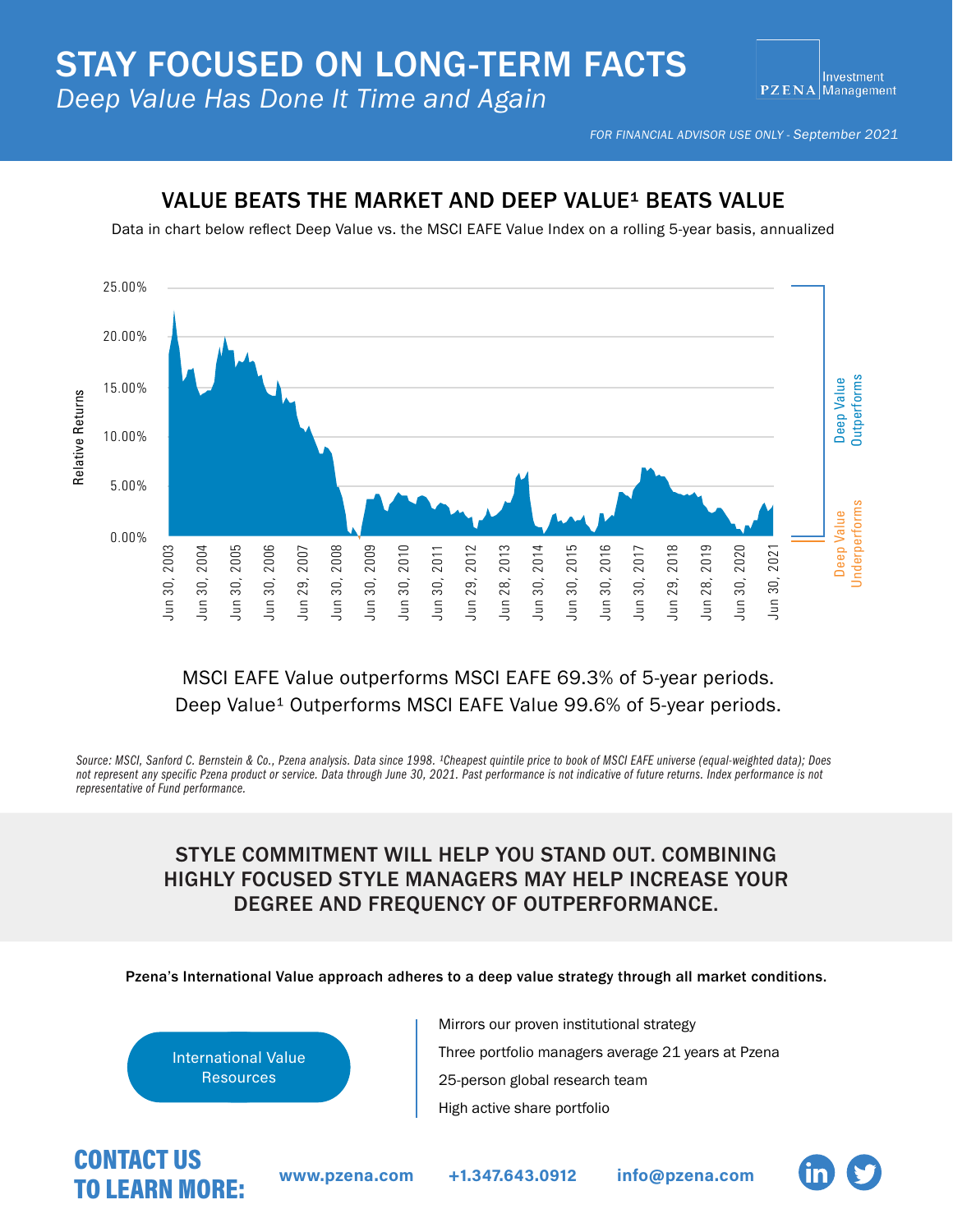FOR FINANCIAL ADVISOR USE ONLY - September 2021

#### VALUE BEATS THE MARKET AND DEEP VALUE<sup>1</sup> BEATS VALUE

Data in chart below reflect Deep Value vs. the MSCI EAFE Value Index on a rolling 5-year basis, annualized



## MSCI EAFE Value outperforms MSCI EAFE 69.3% of 5-year periods. Deep Value<sup>1</sup> Outperforms MSCI EAFE Value 99.6% of 5-year periods.

Source: MSCI, Sanford C. Bernstein & Co., Pzena analysis. Data since 1998. <sup>1</sup>Cheapest quintile price to book of MSCI EAFE universe (equal-weighted data); Does not represent any specific Pzena product or service. Data through June 30, 2021. Past performance is not indicative of future returns. Index performance is not *representative of Fund performance.*

## STYLE COMMITMENT WILL HELP YOU STAND OUT. COMBINING HIGHLY FOCUSED STYLE MANAGERS MAY HELP INCREASE YOUR DEGREE AND FREQUENCY OF OUTPERFORMANCE.

Pzena's International Value approach adheres to a deep value strategy through all market conditions.



Mirrors our proven institutional strategy Three portfolio managers average 21 years at Pzena 25-person global research team High active share portfolio

# CONTACT US<br>TO LEADN MODE WWW.pzena.com [+1.347.643.0912](tel:3476430912) [info@pzena.com](email:info@pzena.com) TO LEARN MORE: